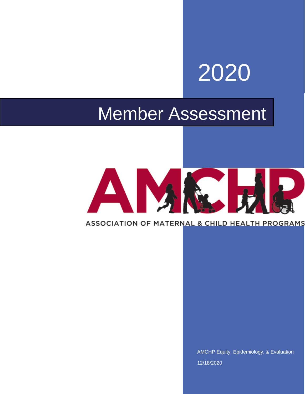# 2020

# Member Assessment

# AM

## ASSOCIATION OF MATERNAL & CHILD HEALTH PROGRAMS

AMCHP Equity, Epidemiology, & Evaluation 12/18/2020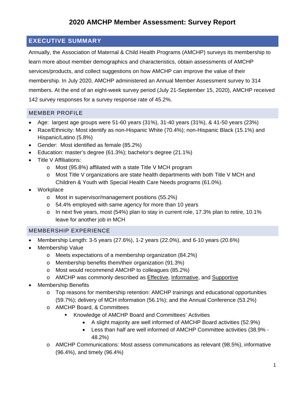#### <span id="page-1-0"></span>**EXECUTIVE SUMMARY**

Annually, the Association of Maternal & Child Health Programs (AMCHP) surveys its membership to learn more about member demographics and characteristics, obtain assessments of AMCHP services/products, and collect suggestions on how AMCHP can improve the value of their membership. In July 2020, AMCHP administered an Annual Member Assessment survey to 314 members. At the end of an eight-week survey period (July 21-September 15, 2020), AMCHP received 142 survey responses for a survey response rate of 45.2%.

#### <span id="page-1-1"></span>MEMBER PROFILE

- Age: largest age groups were 51-60 years  $(31\%)$ , 31-40 years  $(31\%)$ , & 41-50 years  $(23\%)$
- Race/Ethnicity: Most identify as non-Hispanic White (70.4%); non-Hispanic Black (15.1%) and Hispanic/Latino (5.8%)
- Gender: Most identified as female (85.2%)
- Education: master's degree (61.3%); bachelor's degree (21.1%)
- Title V Affiliations:
	- o Most (95.8%) affiliated with a state Title V MCH program
	- o Most Title V organizations are state health departments with both Title V MCH and Children & Youth with Special Health Care Needs programs (61.0%).
- Workplace
	- o Most in supervisor/management positions (55.2%)
	- o 54.4% employed with same agency for more than 10 years
	- $\circ$  In next five years, most (54%) plan to stay in current role, 17.3% plan to retire, 10.1% leave for another job in MCH

#### <span id="page-1-2"></span>MEMBERSHIP EXPERIENCE

- Membership Length: 3-5 years (27.6%), 1-2 years (22.0%), and 6-10 years (20.6%)
- Membership Value
	- o Meets expectations of a membership organization (84.2%)
	- o Membership benefits them/their organization (91.3%)
	- o Most would recommend AMCHP to colleagues (85.2%)
	- o AMCHP was commonly described as Effective, Informative, and Supportive
- Membership Benefits
	- $\circ$  Top reasons for membership retention: AMCHP trainings and educational opportunities (59.7%); delivery of MCH information (56.1%); and the Annual Conference (53.2%)
	- o AMCHP Board, & Committees
		- **Knowledge of AMCHP Board and Committees' Activities** 
			- A slight majority are well informed of AMCHP Board activities (52.9%)
			- Less than half are well informed of AMCHP Committee activities (38.9% 48.2%)
	- o AMCHP Communications: Most assess communications as relevant (98.5%), informative (96.4%), and timely (96.4%)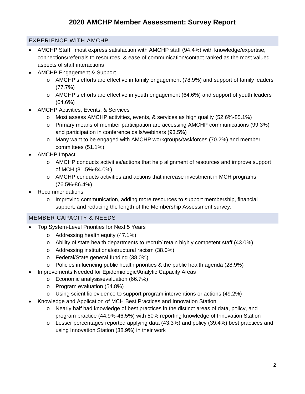#### <span id="page-2-0"></span>EXPERIENCE WITH AMCHP

- AMCHP Staff: most express satisfaction with AMCHP staff (94.4%) with knowledge/expertise, connections/referrals to resources, & ease of communication/contact ranked as the most valued aspects of staff interactions
- AMCHP Engagement & Support
	- o AMCHP's efforts are effective in family engagement (78.9%) and support of family leaders (77.7%)
	- $\circ$  AMCHP's efforts are effective in youth engagement (64.6%) and support of youth leaders (64.6%)
- AMCHP Activities, Events, & Services
	- o Most assess AMCHP activities, events, & services as high quality (52.6%-85.1%)
	- o Primary means of member participation are accessing AMCHP communications (99.3%) and participation in conference calls/webinars (93.5%)
	- o Many want to be engaged with AMCHP workgroups/taskforces (70.2%) and member committees (51.1%)
- AMCHP Impact
	- o AMCHP conducts activities/actions that help alignment of resources and improve support of MCH (81.5%-84.0%)
	- $\circ$  AMCHP conducts activities and actions that increase investment in MCH programs (76.5%-86.4%)
- Recommendations
	- $\circ$  Improving communication, adding more resources to support membership, financial support, and reducing the length of the Membership Assessment survey.

#### <span id="page-2-1"></span>MEMBER CAPACITY & NEEDS

- Top System-Level Priorities for Next 5 Years
	- o Addressing health equity (47.1%)
	- o Ability of state health departments to recruit/ retain highly competent staff (43.0%)
	- o Addressing institutional/structural racism (38.0%)
	- o Federal/State general funding (38.0%)
	- $\circ$  Policies influencing public health priorities & the public health agenda (28.9%)
- Improvements Needed for Epidemiologic/Analytic Capacity Areas
	- o Economic analysis/evaluation (66.7%)
	- o Program evaluation (54.8%)
	- o Using scientific evidence to support program interventions or actions (49.2%)
- Knowledge and Application of MCH Best Practices and Innovation Station
	- o Nearly half had knowledge of best practices in the distinct areas of data, policy, and program practice (44.9%-46.5%) with 50% reporting knowledge of Innovation Station
	- o Lesser percentages reported applying data (43.3%) and policy (39.4%) best practices and using Innovation Station (38.9%) in their work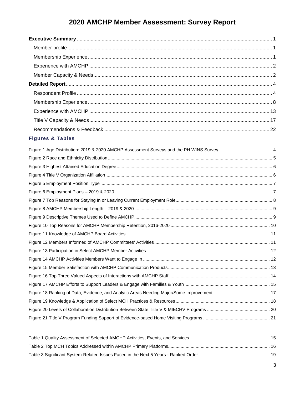#### **Figures & Tables**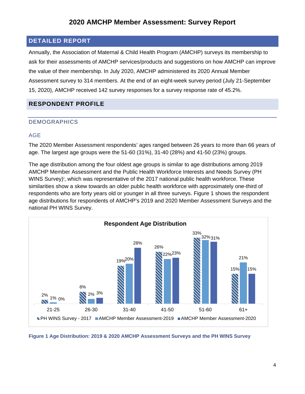#### <span id="page-4-0"></span>**DETAILED REPORT**

Annually, the Association of Maternal & Child Health Program (AMCHP) surveys its membership to ask for their assessments of AMCHP services/products and suggestions on how AMCHP can improve the value of their membership. In July 2020, AMCHP administered its 2020 Annual Member Assessment survey to 314 members. At the end of an eight-week survey period (July 21-September 15, 2020), AMCHP received 142 survey responses for a survey response rate of 45.2%.

#### <span id="page-4-1"></span>**RESPONDENT PROFILE**

#### DEMOGRAPHICS

#### AGE

The 2020 Member Assessment respondents' ages ranged between 26 years to more than 66 years of age. The largest age groups were the 51-60 (31%), 31-40 (28%) and 41-50 (23%) groups.

The age distribution among the four oldest age groups is similar to age distributions among 2019 AMCHP Member Assessment and the Public Health Workforce Interests and Needs Survey (PH WINS Survey)<sup>[i](#page-23-0)</sup>, which was representative of the 2017 national public health workforce. These similarities show a skew towards an older public health workforce with approximately one-third of respondents who are forty years old or younger in all three surveys. Figure 1 shows the respondent age distributions for respondents of AMCHP's 2019 and 2020 Member Assessment Surveys and the national PH WINS Survey.



<span id="page-4-2"></span>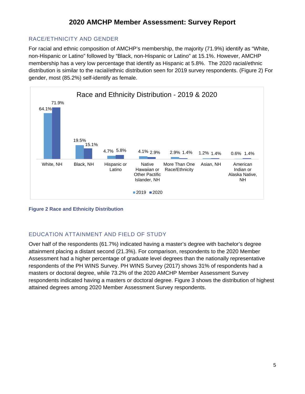#### RACE/ETHNICITY AND GENDER

For racial and ethnic composition of AMCHP's membership, the majority (71.9%) identify as "White, non-Hispanic or Latino" followed by "Black, non-Hispanic or Latino" at 15.1%. However, AMCHP membership has a very low percentage that identify as Hispanic at 5.8%. The 2020 racial/ethnic distribution is similar to the racial/ethnic distribution seen for 2019 survey respondents. (Figure 2) For gender, most (85.2%) self-identify as female.



#### <span id="page-5-0"></span>**Figure 2 Race and Ethnicity Distribution**

#### EDUCATION ATTAINMENT AND FIELD OF STUDY

Over half of the respondents (61.7%) indicated having a master's degree with bachelor's degree attainment placing a distant second (21.3%). For comparison, respondents to the 2020 Member Assessment had a higher percentage of graduate level degrees than the nationally representative respondents of the PH WINS Survey. PH WINS Survey (2017) shows 31% of respondents had a masters or doctoral degree, while 73.2% of the 2020 AMCHP Member Assessment Survey respondents indicated having a masters or doctoral degree. Figure 3 shows the distribution of highest attained degrees among 2020 Member Assessment Survey respondents.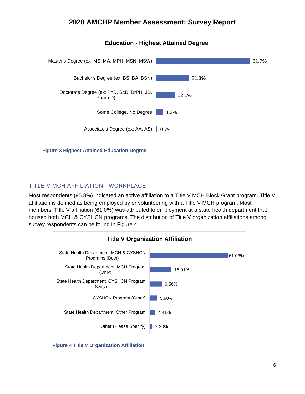**2020 AMCHP Member Assessment: Survey Report**



**Figure 3 Highest Attained Education Degree**

#### TITLE V MCH AFFILIATION - WORKPLACE

Most respondents (95.8%) indicated an active affiliation to a Title V MCH Block Grant program. Title V affiliation is defined as being employed by or volunteering with a Title V MCH program. Most members' Title V affiliation (61.0%) was attributed to employment at a state health department that housed both MCH & CYSHCN programs. The distribution of Title V organization affiliations among survey respondents can be found in Figure 4.



**Figure 4 Title V Organization Affiliation**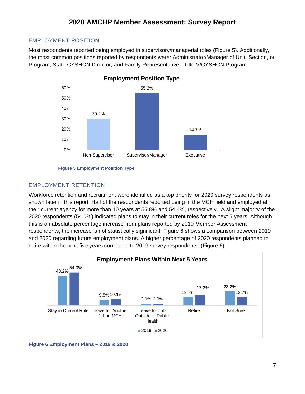#### EMPLOYMENT POSITION

Most respondents reported being employed in supervisory/managerial roles (Figure 5). Additionally, the most common positions reported by respondents were: Administrator/Manager of Unit, Section, or Program; State CYSHCN Director; and Family Representative - Title V/CYSHCN Program.



**Figure 5 Employment Position Type** 

#### EMPLOYMENT RETENTION

Workforce retention and recruitment were identified as a top priority for 2020 survey respondents as shown later in this report. Half of the respondents reported being in the MCH field and employed at their current agency for more than 10 years at 55.8% and 54.4%, respectively. A slight majority of the 2020 respondents (54.0%) indicated plans to stay in their current roles for the next 5 years. Although this is an absolute percentage increase from plans reported by 2019 Member Assessment respondents, the increase is not statistically significant. Figure 6 shows a comparison between 2019 and 2020 regarding future employment plans. A higher percentage of 2020 respondents planned to retire within the next five years compared to 2019 survey respondents. (Figure 6)



<span id="page-7-0"></span>**Figure 6 Employment Plans – 2019 & 2020**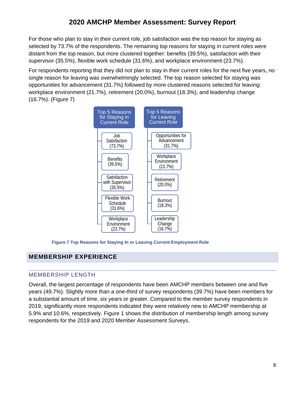For those who plan to stay in their current role, job satisfaction was the top reason for staying as selected by 73.7% of the respondents. The remaining top reasons for staying in current roles were distant from the top reason, but more clustered together: benefits (39.5%), satisfaction with their supervisor (35.5%), flexible work schedule (31.6%), and workplace environment (23.7%).

For respondents reporting that they did not plan to stay in their current roles for the next five years, no single reason for leaving was overwhelmingly selected. The top reason selected for staying was opportunities for advancement (31.7%) followed by more clustered reasons selected for leaving: workplace environment (21.7%), retirement (20.0%), burnout (18.3%), and leadership change (16.7%). (Figure 7)



**Figure 7 Top Reasons for Staying In or Leaving Current Employment Role** 

#### <span id="page-8-0"></span>**MEMBERSHIP EXPERIENCE**

#### MEMBERSHIP LENGTH

Overall, the largest percentage of respondents have been AMCHP members between one and five years (49.7%). Slightly more than a one-third of survey respondents (39.7%) have been members for a substantial amount of time, six years or greater. Compared to the member survey respondents in 2019, significantly more respondents indicated they were relatively new to AMCHP membership at 5.9% and 10.6%, respectively. Figure 1 shows the distribution of membership length among survey respondents for the 2019 and 2020 Member Assessment Surveys.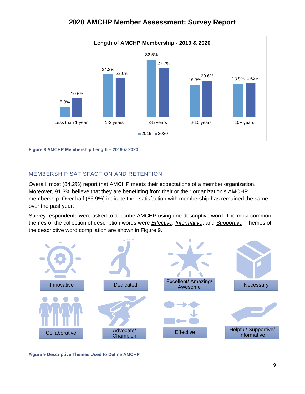

<span id="page-9-0"></span>**Figure 8 AMCHP Membership Length – 2019 & 2020**

#### MEMBERSHIP SATISFACTION AND RETENTION

Overall, most (84.2%) report that AMCHP meets their expectations of a member organization. Moreover, 91.3% believe that they are benefitting from their or their organization's AMCHP membership. Over half (66.9%) indicate their satisfaction with membership has remained the same over the past year.

Survey respondents were asked to describe AMCHP using one descriptive word. The most common themes of the collection of description words were *Effective, Informative*, and *Supportive*. Themes of the descriptive word compilation are shown in Figure 9.



<span id="page-9-1"></span>**Figure 9 Descriptive Themes Used to Define AMCHP**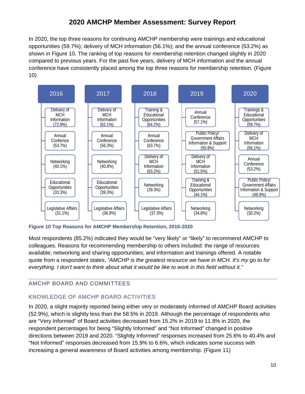In 2020, the top three reasons for continuing AMCHP membership were trainings and educational opportunities (59.7%); delivery of MCH information (56.1%); and the annual conference (53.2%) as shown in Figure 10. The ranking of top reasons for membership retention changed slightly in 2020 compared to previous years. For the past five years, delivery of MCH information and the annual conference have consistently placed among the top three reasons for membership retention. (Figure 10)



<span id="page-10-0"></span>**Figure 10 Top Reasons for AMCHP Membership Retention, 2016-2020**

Most respondents (85.2%) indicated they would be "very likely" or "likely" to recommend AMCHP to colleagues. Reasons for recommending membership to others included: the range of resources available; networking and sharing opportunities; and information and trainings offered. A notable quote from a respondent states, *"AMCHP is the greatest resource we have in MCH. It's my go to for everything. I don't want to think about what it would be like to work in this field without it."*

#### AMCHP BOARD AND COMMITTEES

#### KNOWLEDGE OF AMCHP BOARD ACTIVITIES

In 2020, a slight majority reported being either very or moderately informed of AMCHP Board activities (52.9%), which is slightly less than the 58.5% in 2019. Although the percentage of respondents who are "Very Informed" of Board activities decreased from 15.2% in 2019 to 11.8% in 2020, the respondent percentages for being "Slightly Informed" and "Not Informed" changed in positive directions between 2019 and 2020. "Slightly Informed" responses increased from 25.6% to 40.4% and "Not Informed" responses decreased from 15.9% to 6.6%, which indicates some success with increasing a general awareness of Board activities among membership. (Figure 11)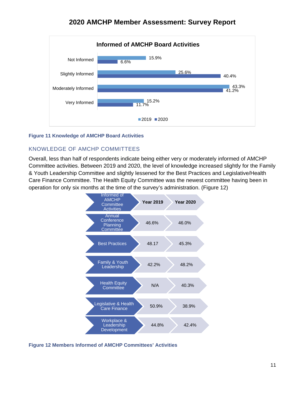

#### <span id="page-11-0"></span>**Figure 11 Knowledge of AMCHP Board Activities**

#### KNOWLEDGE OF AMCHP COMMITTEES

Overall, less than half of respondents indicate being either very or moderately informed of AMCHP Committee activities. Between 2019 and 2020, the level of knowledge increased slightly for the Family & Youth Leadership Committee and slightly lessened for the Best Practices and Legislative/Health Care Finance Committee. The Health Equity Committee was the newest committee having been in operation for only six months at the time of the survey's administration. (Figure 12)



<span id="page-11-1"></span>**Figure 12 Members Informed of AMCHP Committees' Activities**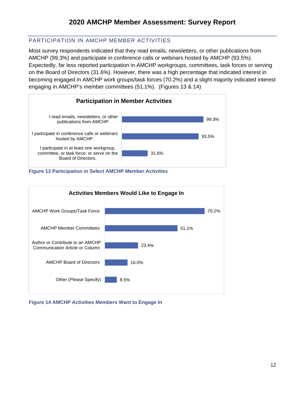#### PARTICIPATION IN AMCHP MEMBER ACTIVITIES

Most survey respondents indicated that they read emails, newsletters, or other publications from AMCHP (99.3%) and participate in conference calls or webinars hosted by AMCHP (93.5%). Expectedly, far less reported participation in AMCHP workgroups, committees, task forces or serving on the Board of Directors (31.6%). However, there was a high percentage that indicated interest in becoming engaged in AMCHP work groups/task forces (70.2%) and a slight majority indicated interest engaging in AMCHP's member committees (51.1%). (Figures 13 & 14)







**Figure 14 AMCHP Activities Members Want to Engage In**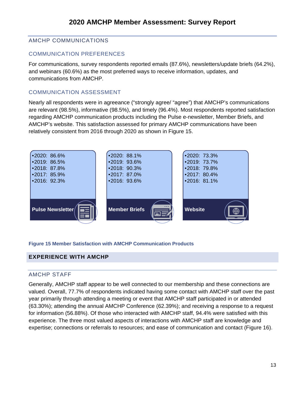#### AMCHP COMMUNICATIONS

#### COMMUNICATION PREFERENCES

For communications, survey respondents reported emails (87.6%), newsletters/update briefs (64.2%), and webinars (60.6%) as the most preferred ways to receive information, updates, and communications from AMCHP.

#### COMMUNICATION ASSESSMENT

Nearly all respondents were in agreeance ("strongly agree/ "agree") that AMCHP's communications are relevant (98.5%), informative (98.5%), and timely (96.4%). Most respondents reported satisfaction regarding AMCHP communication products including the Pulse e-newsletter, Member Briefs, and AMCHP's website. This satisfaction assessed for primary AMCHP communications have been relatively consistent from 2016 through 2020 as shown in Figure 15.



#### <span id="page-13-1"></span>**Figure 15 Member Satisfaction with AMCHP Communication Products**

#### <span id="page-13-0"></span>**EXPERIENCE WITH AMCHP**

#### AMCHP STAFF

Generally, AMCHP staff appear to be well connected to our membership and these connections are valued. Overall, 77.7% of respondents indicated having some contact with AMCHP staff over the past year primarily through attending a meeting or event that AMCHP staff participated in or attended (63.30%); attending the annual AMCHP Conference (62.39%); and receiving a response to a request for information (56.88%). Of those who interacted with AMCHP staff, 94.4% were satisfied with this experience. The three most valued aspects of interactions with AMCHP staff are knowledge and expertise; connections or referrals to resources; and ease of communication and contact (Figure 16).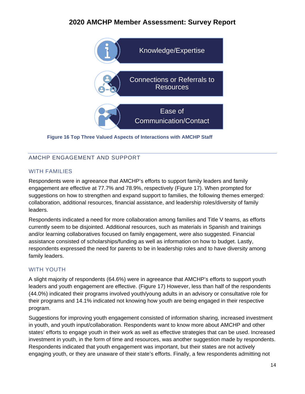

**Figure 16 Top Three Valued Aspects of Interactions with AMCHP Staff**

#### AMCHP ENGAGEMENT AND SUPPORT

#### WITH FAMILIES

Respondents were in agreeance that AMCHP's efforts to support family leaders and family engagement are effective at 77.7% and 78.9%, respectively (Figure 17). When prompted for suggestions on how to strengthen and expand support to families, the following themes emerged: collaboration, additional resources, financial assistance, and leadership roles/diversity of family leaders.

Respondents indicated a need for more collaboration among families and Title V teams, as efforts currently seem to be disjointed. Additional resources, such as materials in Spanish and trainings and/or learning collaboratives focused on family engagement, were also suggested. Financial assistance consisted of scholarships/funding as well as information on how to budget. Lastly, respondents expressed the need for parents to be in leadership roles and to have diversity among family leaders.

#### WITH YOUTH

A slight majority of respondents (64.6%) were in agreeance that AMCHP's efforts to support youth leaders and youth engagement are effective. (Figure 17) However, less than half of the respondents (44.0%) indicated their programs involved youth/young adults in an advisory or consultative role for their programs and 14.1% indicated not knowing how youth are being engaged in their respective program.

Suggestions for improving youth engagement consisted of information sharing, increased investment in youth, and youth input/collaboration. Respondents want to know more about AMCHP and other states' efforts to engage youth in their work as well as effective strategies that can be used. Increased investment in youth, in the form of time and resources, was another suggestion made by respondents. Respondents indicated that youth engagement was important, but their states are not actively engaging youth, or they are unaware of their state's efforts. Finally, a few respondents admitting not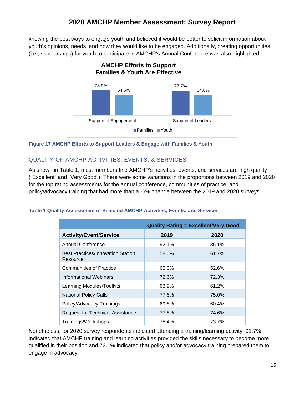knowing the best ways to engage youth and believed it would be better to solicit information about youth's opinions, needs, and how they would like to be engaged. Additionally, creating opportunities (i.e., scholarships) for youth to participate in AMCHP's Annual Conference was also highlighted.



<span id="page-15-0"></span>**Figure 17 AMCHP Efforts to Support Leaders & Engage with Families & Youth**

#### QUALITY OF AMCHP ACTIVITIES, EVENTS, & SERVICES

As shown in Table 1, most members find AMCHP's activities, events, and services are high quality ("Excellent" and "Very Good"). There were some variations in the proportions between 2019 and 2020 for the top rating assessments for the annual conference, communities of practice, and policy/advocacy training that had more than a -6% change between the 2019 and 2020 surveys.

#### <span id="page-15-1"></span>**Table 1 Quality Assessment of Selected AMCHP Activities, Events, and Services**

|                                                      | <b>Quality Rating = Excellent/Very Good</b> |       |
|------------------------------------------------------|---------------------------------------------|-------|
| <b>Activity/Event/Service</b>                        | 2019                                        | 2020  |
| Annual Conference                                    | 92.1%                                       | 85.1% |
| <b>Best Practices/Innovation Station</b><br>Resource | 58.0%                                       | 61.7% |
| <b>Communities of Practice</b>                       | 65.0%                                       | 52.6% |
| Informational Webinars                               | 72.6%                                       | 72.3% |
| Learning Modules/Toolkits                            | 63.9%                                       | 61.2% |
| <b>National Policy Calls</b>                         | 77.6%                                       | 75.0% |
| Policy/Advocacy Trainings                            | 69.8%                                       | 60.4% |
| <b>Request for Technical Assistance</b>              | 77.8%                                       | 74.6% |
| Trainings/Workshops                                  | 78.4%                                       | 73.7% |

Nonetheless, for 2020 survey respondents indicated attending a training/learning activity, 91.7% indicated that AMCHP training and learning activities provided the skills necessary to become more qualified in their position and 73.1% indicated that policy and/or advocacy training prepared them to engage in advocacy.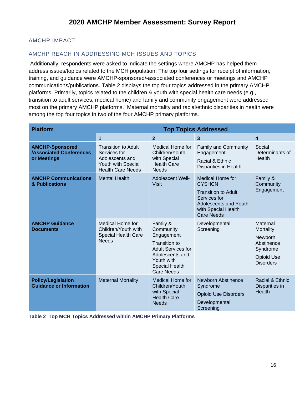#### AMCHP IMPACT

#### AMCHP REACH IN ADDRESSING MCH ISSUES AND TOPICS

Additionally, respondents were asked to indicate the settings where AMCHP has helped them address issues/topics related to the MCH population. The top four settings for receipt of information, training, and guidance were AMCHP-sponsored/-associated conferences or meetings and AMCHP communications/publications. Table 2 displays the top four topics addressed in the primary AMCHP platforms. Primarily, topics related to the children & youth with special health care needs (e.g., transition to adult services, medical home) and family and community engagement were addressed most on the primary AMCHP platforms. Maternal mortality and racial/ethnic disparities in health were among the top four topics in two of the four AMCHP primary platforms.

| <b>Platform</b>                                                         | <b>Top Topics Addressed</b>                                                                                     |                                                                                                                                                                  |                                                                                                                                                             |                                                                                                     |
|-------------------------------------------------------------------------|-----------------------------------------------------------------------------------------------------------------|------------------------------------------------------------------------------------------------------------------------------------------------------------------|-------------------------------------------------------------------------------------------------------------------------------------------------------------|-----------------------------------------------------------------------------------------------------|
|                                                                         | $\mathbf{1}$                                                                                                    | $\overline{2}$                                                                                                                                                   | 3                                                                                                                                                           | 4                                                                                                   |
| <b>AMCHP-Sponsored</b><br><b>/Associated Conferences</b><br>or Meetings | <b>Transition to Adult</b><br>Services for<br>Adolescents and<br>Youth with Special<br><b>Health Care Needs</b> | Medical Home for<br>Children/Youth<br>with Special<br><b>Health Care</b><br><b>Needs</b>                                                                         | <b>Family and Community</b><br>Engagement<br>Racial & Ethnic<br><b>Disparities in Health</b>                                                                | Social<br>Determinants of<br>Health                                                                 |
| <b>AMCHP Communications</b><br>& Publications                           | <b>Mental Health</b>                                                                                            | <b>Adolescent Well-</b><br><b>Visit</b>                                                                                                                          | <b>Medical Home for</b><br><b>CYSHCN</b><br><b>Transition to Adult</b><br>Services for<br>Adolescents and Youth<br>with Special Health<br><b>Care Needs</b> | Family &<br>Community<br>Engagement                                                                 |
| <b>AMCHP Guidance</b><br><b>Documents</b>                               | Medical Home for<br>Children/Youth with<br><b>Special Health Care</b><br><b>Needs</b>                           | Family &<br>Community<br>Engagement<br><b>Transition to</b><br><b>Adult Services for</b><br>Adolescents and<br>Youth with<br><b>Special Health</b><br>Care Needs | Developmental<br>Screening                                                                                                                                  | Maternal<br>Mortality<br>Newborn<br>Abstinence<br>Syndrome<br><b>Opioid Use</b><br><b>Disorders</b> |
| <b>Policy/Legislation</b><br><b>Guidance or Information</b>             | <b>Maternal Mortality</b>                                                                                       | <b>Medical Home for</b><br>Children/Youth<br>with Special<br><b>Health Care</b><br><b>Needs</b>                                                                  | <b>Newborn Abstinence</b><br>Syndrome<br><b>Opioid Use Disorders</b><br>Developmental<br>Screening                                                          | Racial & Ethnic<br>Disparities in<br><b>Health</b>                                                  |

<span id="page-16-0"></span>**Table 2 Top MCH Topics Addressed within AMCHP Primary Platforms**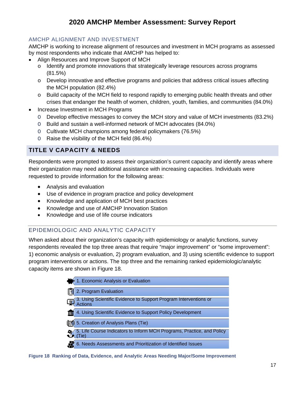#### AMCHP ALIGNMENT AND INVESTMENT

AMCHP is working to increase alignment of resources and investment in MCH programs as assessed by most respondents who indicate that AMCHP has helped to:

- Align Resources and Improve Support of MCH
	- o Identify and promote innovations that strategically leverage resources across programs (81.5%)
	- o Develop innovative and effective programs and policies that address critical issues affecting the MCH population (82.4%)
	- o Build capacity of the MCH field to respond rapidly to emerging public health threats and other crises that endanger the health of women, children, youth, families, and communities (84.0%)
- Increase Investment in MCH Programs
	- O Develop effective messages to convey the MCH story and value of MCH investments (83.2%)
	- O Build and sustain a well-informed network of MCH advocates (84.0%)
	- O Cultivate MCH champions among federal policymakers (76.5%)
	- O Raise the visibility of the MCH field (86.4%)

#### <span id="page-17-0"></span>**TITLE V CAPACITY & NEEDS**

Respondents were prompted to assess their organization's current capacity and identify areas where their organization may need additional assistance with increasing capacities. Individuals were requested to provide information for the following areas:

- Analysis and evaluation
- Use of evidence in program practice and policy development
- Knowledge and application of MCH best practices
- Knowledge and use of AMCHP Innovation Station
- Knowledge and use of life course indicators

#### EPIDEMIOLOGIC AND ANALYTIC CAPACITY

When asked about their organization's capacity with epidemiology or analytic functions, survey respondents revealed the top three areas that require "major improvement" or "some improvement": 1) economic analysis or evaluation, 2) program evaluation, and 3) using scientific evidence to support program interventions or actions. The top three and the remaining ranked epidemiologic/analytic capacity items are shown in Figure 18.

| 1. Economic Analysis or Evaluation                                                 |
|------------------------------------------------------------------------------------|
| 2. Program Evaluation                                                              |
| 3. Using Scientific Evidence to Support Program Interventions or<br><b>Actions</b> |
| 4. Using Scientific Evidence to Support Policy Development                         |
| 5. Creation of Analysis Plans (Tie)                                                |
| 5. Life Course Indicators to Inform MCH Programs, Practice, and Policy<br>(Tie     |
| 6. Needs Assessments and Prioritization of Identified Issues                       |

<span id="page-17-1"></span>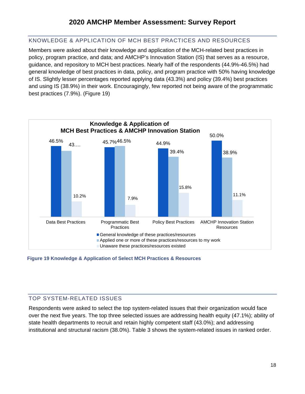#### KNOWLEDGE & APPLICATION OF MCH BEST PRACTICES AND RESOURCES

Members were asked about their knowledge and application of the MCH-related best practices in policy, program practice, and data; and AMCHP's Innovation Station (IS) that serves as a resource, guidance, and repository to MCH best practices. Nearly half of the respondents (44.9%-46.5%) had general knowledge of best practices in data, policy, and program practice with 50% having knowledge of IS. Slightly lesser percentages reported applying data (43.3%) and policy (39.4%) best practices and using IS (38.9%) in their work. Encouragingly, few reported not being aware of the programmatic best practices (7.9%). (Figure 19)



#### **Figure 19 Knowledge & Application of Select MCH Practices & Resources**

#### TOP SYSTEM-RELATED ISSUES

Respondents were asked to select the top system-related issues that their organization would face over the next five years. The top three selected issues are addressing health equity (47.1%); ability of state health departments to recruit and retain highly competent staff (43.0%); and addressing institutional and structural racism (38.0%). Table 3 shows the system-related issues in ranked order.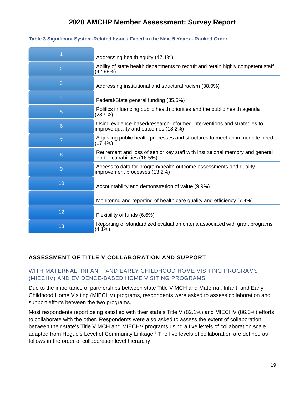|                | Addressing health equity (47.1%)                                                                               |
|----------------|----------------------------------------------------------------------------------------------------------------|
| $\overline{2}$ | Ability of state health departments to recruit and retain highly competent staff<br>(42.98%)                   |
| 3              | Addressing institutional and structural racism (38.0%)                                                         |
| $\overline{4}$ | Federal/State general funding (35.5%)                                                                          |
| 5              | Politics influencing public health priorities and the public health agenda<br>(28.9%)                          |
| 6              | Using evidence-based/research-informed interventions and strategies to<br>improve quality and outcomes (18.2%) |
| $\overline{7}$ | Adjusting public health processes and structures to meet an immediate need<br>(17.4%)                          |
| 8              | Retirement and loss of senior key staff with institutional memory and general<br>"go-to" capabilities (16.5%)  |
| 9              | Access to data for program/health outcome assessments and quality<br>improvement processes (13.2%)             |
| 10             | Accountability and demonstration of value (9.9%)                                                               |
| 11             | Monitoring and reporting of health care quality and efficiency (7.4%)                                          |
| 12             | Flexibility of funds (6.6%)                                                                                    |
| 13             | Reporting of standardized evaluation criteria associated with grant programs<br>(4.1%)                         |

#### <span id="page-19-0"></span>**Table 3 Significant System-Related Issues Faced in the Next 5 Years - Ranked Order**

#### **ASSESSMENT OF TITLE V COLLABORATION AND SUPPORT**

#### WITH MATERNAL, INFANT, AND EARLY CHILDHOOD HOME VISITING PROGRAMS (MIECHV) AND EVIDENCE-BASED HOME VISITING PROGRAMS

Due to the importance of partnerships between state Title V MCH and Maternal, Infant, and Early Childhood Home Visiting (MIECHV) programs, respondents were asked to assess collaboration and support efforts between the two programs.

Most respondents report being satisfied with their state's Title V (82.1%) and MIECHV (86.0%) efforts to collaborate with the other. Respondents were also asked to assess the extent of collaboration between their state's Title V MCH and MIECHV programs using a five levels of collaboration scale adapted from Hogue's Level of Community Linkage.<sup>[ii](#page-23-1)</sup> The five levels of collaboration are defined as follows in the order of collaboration level hierarchy: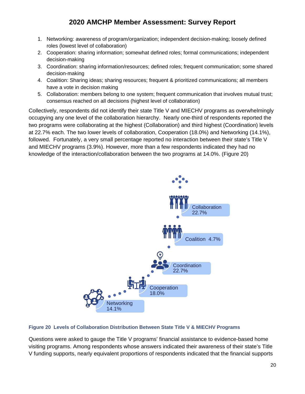- 1. Networking: awareness of program/organization; independent decision-making; loosely defined roles (lowest level of collaboration)
- 2. Cooperation: sharing information; somewhat defined roles; formal communications; independent decision-making
- 3. Coordination: sharing information/resources; defined roles; frequent communication; some shared decision-making
- 4. Coalition: Sharing ideas; sharing resources; frequent & prioritized communications; all members have a vote in decision making
- 5. Collaboration: members belong to one system; frequent communication that involves mutual trust; consensus reached on all decisions (highest level of collaboration)

Collectively, respondents did not identify their state Title V and MIECHV programs as overwhelmingly occupying any one level of the collaboration hierarchy. Nearly one-third of respondents reported the two programs were collaborating at the highest (Collaboration) and third highest (Coordination) levels at 22.7% each. The two lower levels of collaboration, Cooperation (18.0%) and Networking (14.1%), followed. Fortunately, a very small percentage reported no interaction between their state's Title V and MIECHV programs (3.9%). However, more than a few respondents indicated they had no knowledge of the interaction/collaboration between the two programs at 14.0%. (Figure 20)



#### <span id="page-20-0"></span>**Figure 20 Levels of Collaboration Distribution Between State Title V & MIECHV Programs**

Questions were asked to gauge the Title V programs' financial assistance to evidence-based home visiting programs. Among respondents whose answers indicated their awareness of their state's Title V funding supports, nearly equivalent proportions of respondents indicated that the financial supports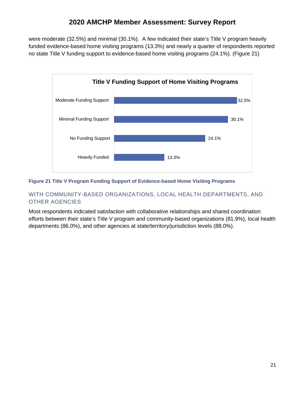were moderate (32.5%) and minimal (30.1%). A few indicated their state's Title V program heavily funded evidence-based home visiting programs (13.3%) and nearly a quarter of respondents reported no state Title V funding support to evidence-based home visiting programs (24.1%). (Figure 21)



#### <span id="page-21-0"></span>**Figure 21 Title V Program Funding Support of Evidence-based Home Visiting Programs**

#### WITH COMMUNITY-BASED ORGANIZATIONS, LOCAL HEALTH DEPARTMENTS, AND OTHER AGENCIES

Most respondents indicated satisfaction with collaborative relationships and shared coordination efforts between their state's Title V program and community-based organizations (81.9%), local health departments (86.0%), and other agencies at state/territory/jurisdiction levels (88.0%).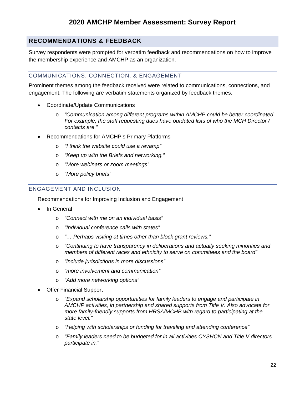#### <span id="page-22-0"></span>**RECOMMENDATIONS & FEEDBACK**

Survey respondents were prompted for verbatim feedback and recommendations on how to improve the membership experience and AMCHP as an organization.

#### COMMUNICATIONS, CONNECTION, & ENGAGEMENT

Prominent themes among the feedback received were related to communications, connections, and engagement. The following are verbatim statements organized by feedback themes.

- Coordinate/Update Communications
	- o *"Communication among different programs within AMCHP could be better coordinated. For example, the staff requesting dues have outdated lists of who the MCH Director / contacts are."*
- Recommendations for AMCHP's Primary Platforms
	- o *"I think the website could use a revamp"*
	- o *"Keep up with the Briefs and networking."*
	- o *"More webinars or zoom meetings"*
	- o *"More policy briefs"*

#### ENGAGEMENT AND INCLUSION

Recommendations for Improving Inclusion and Engagement

- In General
	- o *"Connect with me on an individual basis"*
	- o *"Individual conference calls with states"*
	- o *"… Perhaps visiting at times other than block grant reviews."*
	- o *"Continuing to have transparency in deliberations and actually seeking minorities and members of different races and ethnicity to serve on committees and the board"*
	- o *"include jurisdictions in more discussions"*
	- o *"more involvement and communication"*
	- o *"Add more networking options"*
- **Offer Financial Support** 
	- o *"Expand scholarship opportunities for family leaders to engage and participate in AMCHP activities, in partnership and shared supports from Title V. Also advocate for more family-friendly supports from HRSA/MCHB with regard to participating at the state level."*
	- o *"Helping with scholarships or funding for traveling and attending conference"*
	- o *"Family leaders need to be budgeted for in all activities CYSHCN and Title V directors participate in."*